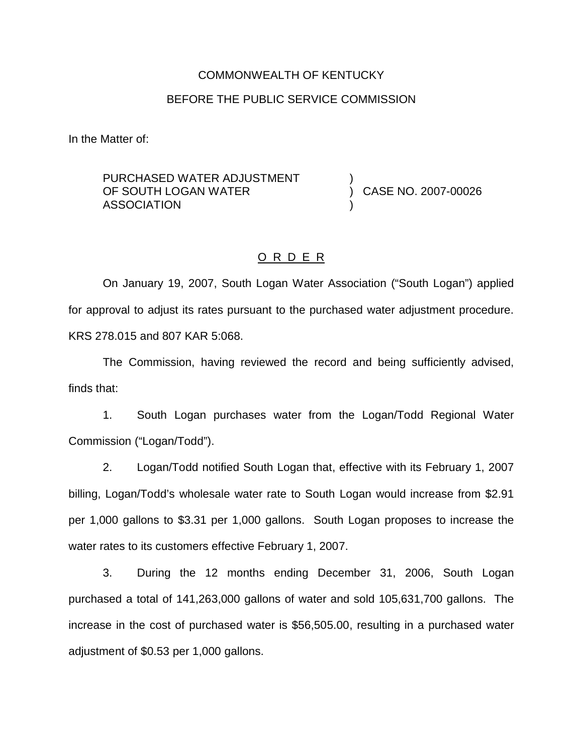#### COMMONWEALTH OF KENTUCKY

#### BEFORE THE PUBLIC SERVICE COMMISSION

In the Matter of:

PURCHASED WATER ADJUSTMENT OF SOUTH LOGAN WATER ASSOCIATION

) CASE NO. 2007-00026

)

)

### O R D E R

On January 19, 2007, South Logan Water Association ("South Logan") applied for approval to adjust its rates pursuant to the purchased water adjustment procedure. KRS 278.015 and 807 KAR 5:068.

The Commission, having reviewed the record and being sufficiently advised, finds that:

1. South Logan purchases water from the Logan/Todd Regional Water Commission ("Logan/Todd").

2. Logan/Todd notified South Logan that, effective with its February 1, 2007 billing, Logan/Todd's wholesale water rate to South Logan would increase from \$2.91 per 1,000 gallons to \$3.31 per 1,000 gallons. South Logan proposes to increase the water rates to its customers effective February 1, 2007.

3. During the 12 months ending December 31, 2006, South Logan purchased a total of 141,263,000 gallons of water and sold 105,631,700 gallons. The increase in the cost of purchased water is \$56,505.00, resulting in a purchased water adjustment of \$0.53 per 1,000 gallons.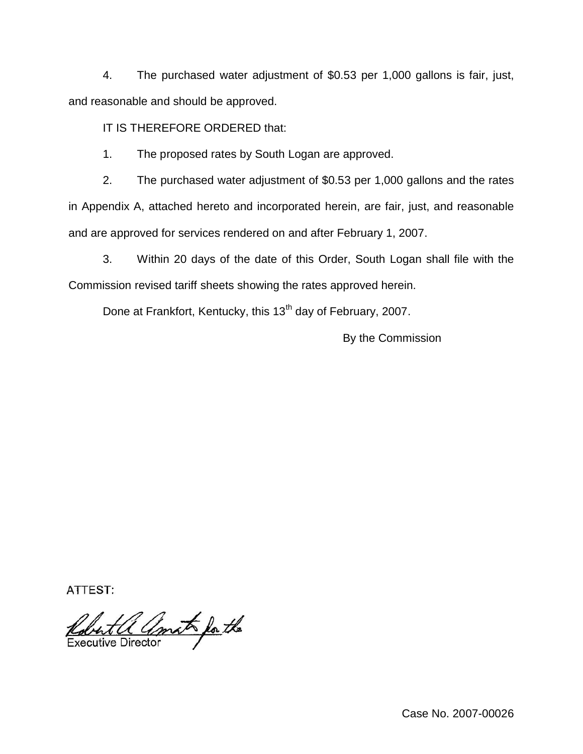4. The purchased water adjustment of \$0.53 per 1,000 gallons is fair, just, and reasonable and should be approved.

IT IS THEREFORE ORDERED that:

1. The proposed rates by South Logan are approved.

2. The purchased water adjustment of \$0.53 per 1,000 gallons and the rates in Appendix A, attached hereto and incorporated herein, are fair, just, and reasonable and are approved for services rendered on and after February 1, 2007.

3. Within 20 days of the date of this Order, South Logan shall file with the Commission revised tariff sheets showing the rates approved herein.

Done at Frankfort, Kentucky, this 13<sup>th</sup> day of February, 2007.

By the Commission

ATTEST:

Robert a amato for the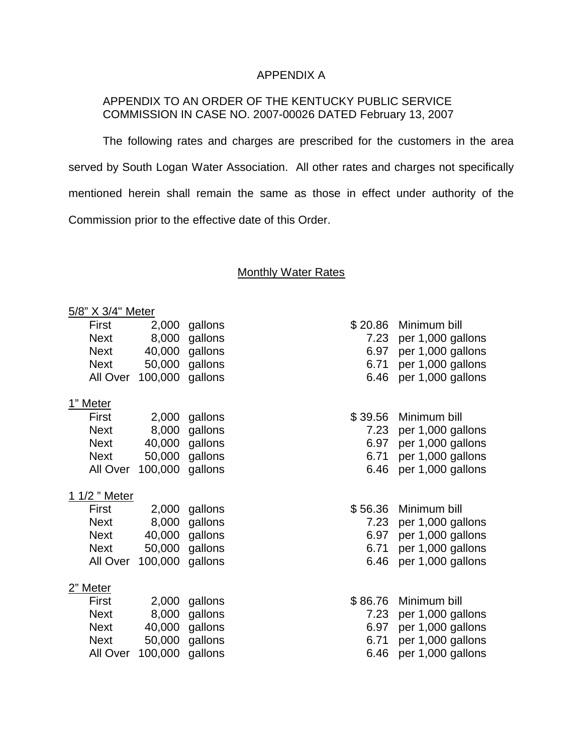# APPENDIX A

# APPENDIX TO AN ORDER OF THE KENTUCKY PUBLIC SERVICE COMMISSION IN CASE NO. 2007-00026 DATED February 13, 2007

The following rates and charges are prescribed for the customers in the area served by South Logan Water Association. All other rates and charges not specifically mentioned herein shall remain the same as those in effect under authority of the Commission prior to the effective date of this Order.

#### Monthly Water Rates

| 5/8" X 3/4" Meter |                 |         |         |         |                   |  |  |
|-------------------|-----------------|---------|---------|---------|-------------------|--|--|
|                   | First           | 2,000   | gallons | \$20.86 | Minimum bill      |  |  |
|                   | <b>Next</b>     | 8,000   | gallons | 7.23    | per 1,000 gallons |  |  |
|                   | <b>Next</b>     | 40,000  | gallons | 6.97    | per 1,000 gallons |  |  |
|                   | <b>Next</b>     | 50,000  | gallons | 6.71    | per 1,000 gallons |  |  |
|                   | All Over        | 100,000 | gallons | 6.46    | per 1,000 gallons |  |  |
|                   | <u>1" Meter</u> |         |         |         |                   |  |  |
|                   | First           | 2,000   | gallons | \$39.56 | Minimum bill      |  |  |
|                   | <b>Next</b>     | 8,000   | gallons | 7.23    | per 1,000 gallons |  |  |
|                   | <b>Next</b>     | 40,000  | gallons | 6.97    | per 1,000 gallons |  |  |
|                   | <b>Next</b>     | 50,000  | gallons | 6.71    | per 1,000 gallons |  |  |
|                   | All Over        | 100,000 | gallons | 6.46    | per 1,000 gallons |  |  |
| 1/2 " Meter       |                 |         |         |         |                   |  |  |
|                   | First           | 2,000   | gallons | \$56.36 | Minimum bill      |  |  |
|                   | <b>Next</b>     | 8,000   | gallons | 7.23    | per 1,000 gallons |  |  |
|                   | <b>Next</b>     | 40,000  | gallons | 6.97    | per 1,000 gallons |  |  |
|                   | <b>Next</b>     | 50,000  | gallons | 6.71    | per 1,000 gallons |  |  |
|                   | All Over        | 100,000 | gallons | 6.46    | per 1,000 gallons |  |  |
| <u> 2" Meter</u>  |                 |         |         |         |                   |  |  |
|                   | First           | 2,000   | gallons | \$86.76 | Minimum bill      |  |  |
|                   | <b>Next</b>     | 8,000   | gallons | 7.23    | per 1,000 gallons |  |  |
|                   | <b>Next</b>     | 40,000  | gallons | 6.97    | per 1,000 gallons |  |  |
|                   | <b>Next</b>     | 50,000  | gallons | 6.71    | per 1,000 gallons |  |  |
|                   | All Over        | 100,000 | gallons | 6.46    | per 1,000 gallons |  |  |
|                   |                 |         |         |         |                   |  |  |